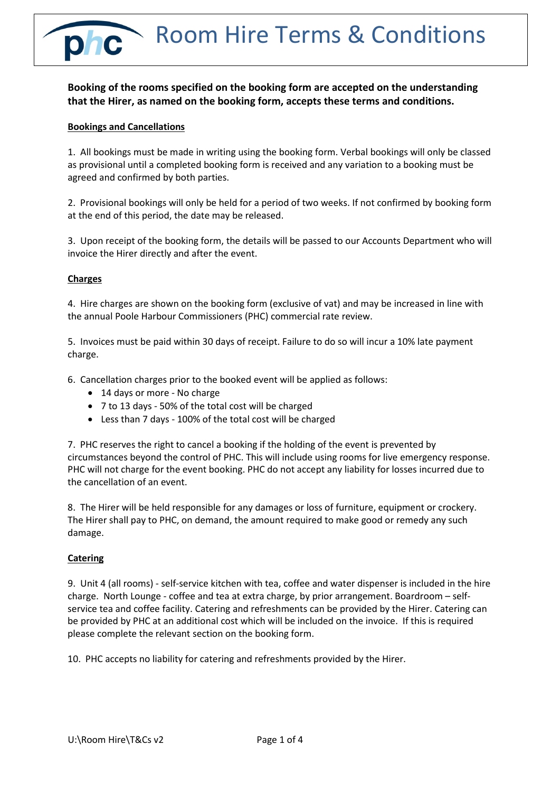Room Hire Terms & Conditions

# **Booking of the rooms specified on the booking form are accepted on the understanding that the Hirer, as named on the booking form, accepts these terms and conditions.**

# **Bookings and Cancellations**

1. All bookings must be made in writing using the booking form. Verbal bookings will only be classed as provisional until a completed booking form is received and any variation to a booking must be agreed and confirmed by both parties.

2. Provisional bookings will only be held for a period of two weeks. If not confirmed by booking form at the end of this period, the date may be released.

3. Upon receipt of the booking form, the details will be passed to our Accounts Department who will invoice the Hirer directly and after the event.

# **Charges**

4. Hire charges are shown on the booking form (exclusive of vat) and may be increased in line with the annual Poole Harbour Commissioners (PHC) commercial rate review.

5. Invoices must be paid within 30 days of receipt. Failure to do so will incur a 10% late payment charge.

6. Cancellation charges prior to the booked event will be applied as follows:

- 14 days or more No charge
- 7 to 13 days 50% of the total cost will be charged
- Less than 7 days 100% of the total cost will be charged

7. PHC reserves the right to cancel a booking if the holding of the event is prevented by circumstances beyond the control of PHC. This will include using rooms for live emergency response. PHC will not charge for the event booking. PHC do not accept any liability for losses incurred due to the cancellation of an event.

8. The Hirer will be held responsible for any damages or loss of furniture, equipment or crockery. The Hirer shall pay to PHC, on demand, the amount required to make good or remedy any such damage.

# **Catering**

9. Unit 4 (all rooms) - self-service kitchen with tea, coffee and water dispenser is included in the hire charge. North Lounge - coffee and tea at extra charge, by prior arrangement. Boardroom – selfservice tea and coffee facility. Catering and refreshments can be provided by the Hirer. Catering can be provided by PHC at an additional cost which will be included on the invoice. If this is required please complete the relevant section on the booking form.

10. PHC accepts no liability for catering and refreshments provided by the Hirer.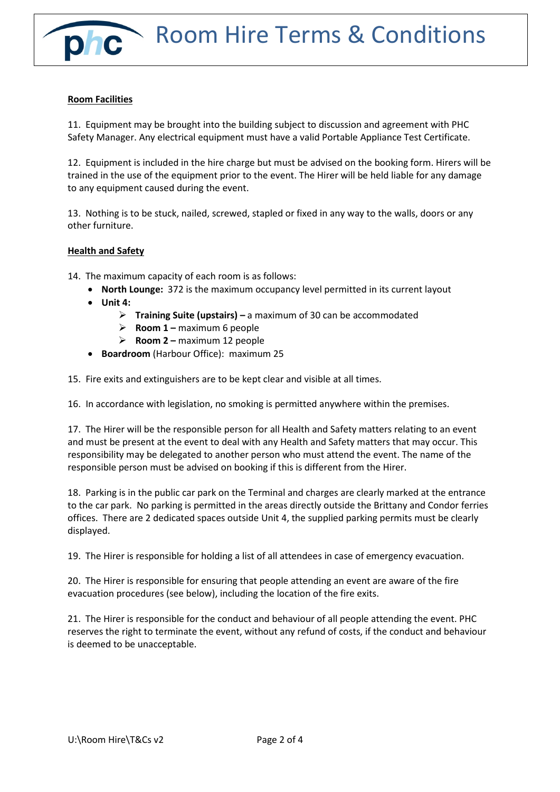# **Room Facilities**

11. Equipment may be brought into the building subject to discussion and agreement with PHC Safety Manager. Any electrical equipment must have a valid Portable Appliance Test Certificate.

12. Equipment is included in the hire charge but must be advised on the booking form. Hirers will be trained in the use of the equipment prior to the event. The Hirer will be held liable for any damage to any equipment caused during the event.

13. Nothing is to be stuck, nailed, screwed, stapled or fixed in any way to the walls, doors or any other furniture.

#### **Health and Safety**

14. The maximum capacity of each room is as follows:

- **North Lounge:** 372 is the maximum occupancy level permitted in its current layout
- **Unit 4:**
	- **Training Suite (upstairs) –** a maximum of 30 can be accommodated
	- **Room 1 –** maximum 6 people
	- **Room 2 –** maximum 12 people
- **Boardroom** (Harbour Office): maximum 25

15. Fire exits and extinguishers are to be kept clear and visible at all times.

16. In accordance with legislation, no smoking is permitted anywhere within the premises.

17. The Hirer will be the responsible person for all Health and Safety matters relating to an event and must be present at the event to deal with any Health and Safety matters that may occur. This responsibility may be delegated to another person who must attend the event. The name of the responsible person must be advised on booking if this is different from the Hirer.

18. Parking is in the public car park on the Terminal and charges are clearly marked at the entrance to the car park. No parking is permitted in the areas directly outside the Brittany and Condor ferries offices. There are 2 dedicated spaces outside Unit 4, the supplied parking permits must be clearly displayed.

19. The Hirer is responsible for holding a list of all attendees in case of emergency evacuation.

20. The Hirer is responsible for ensuring that people attending an event are aware of the fire evacuation procedures (see below), including the location of the fire exits.

21. The Hirer is responsible for the conduct and behaviour of all people attending the event. PHC reserves the right to terminate the event, without any refund of costs, if the conduct and behaviour is deemed to be unacceptable.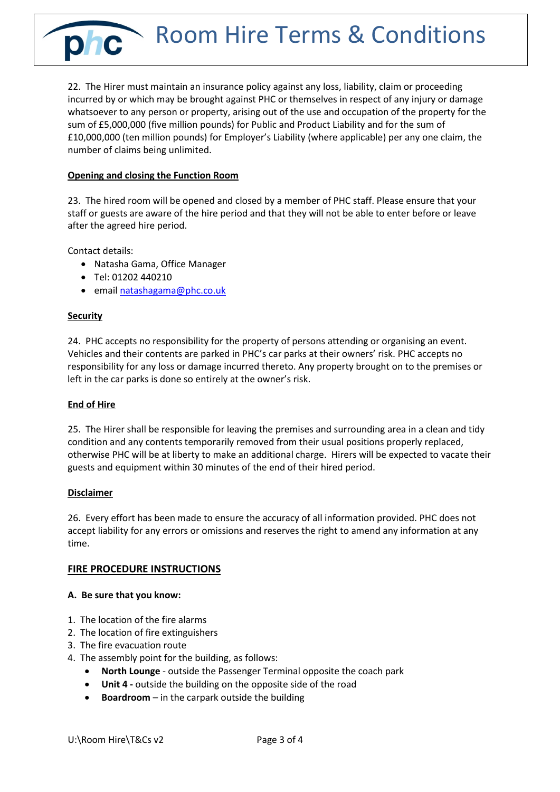phc Room Hire Terms & Conditions

22. The Hirer must maintain an insurance policy against any loss, liability, claim or proceeding incurred by or which may be brought against PHC or themselves in respect of any injury or damage whatsoever to any person or property, arising out of the use and occupation of the property for the sum of £5,000,000 (five million pounds) for Public and Product Liability and for the sum of £10,000,000 (ten million pounds) for Employer's Liability (where applicable) per any one claim, the number of claims being unlimited.

# **Opening and closing the Function Room**

23. The hired room will be opened and closed by a member of PHC staff. Please ensure that your staff or guests are aware of the hire period and that they will not be able to enter before or leave after the agreed hire period.

Contact details:

- Natasha Gama, Office Manager
- Tel: 01202 440210
- emai[l natashagama@phc.co.uk](mailto:natashagama@phc.co.uk)

#### **Security**

24. PHC accepts no responsibility for the property of persons attending or organising an event. Vehicles and their contents are parked in PHC's car parks at their owners' risk. PHC accepts no responsibility for any loss or damage incurred thereto. Any property brought on to the premises or left in the car parks is done so entirely at the owner's risk.

### **End of Hire**

25. The Hirer shall be responsible for leaving the premises and surrounding area in a clean and tidy condition and any contents temporarily removed from their usual positions properly replaced, otherwise PHC will be at liberty to make an additional charge. Hirers will be expected to vacate their guests and equipment within 30 minutes of the end of their hired period.

#### **Disclaimer**

26. Every effort has been made to ensure the accuracy of all information provided. PHC does not accept liability for any errors or omissions and reserves the right to amend any information at any time.

#### **FIRE PROCEDURE INSTRUCTIONS**

#### **A. Be sure that you know:**

- 1. The location of the fire alarms
- 2. The location of fire extinguishers
- 3. The fire evacuation route
- 4. The assembly point for the building, as follows:
	- **North Lounge** outside the Passenger Terminal opposite the coach park
	- **Unit 4 -** outside the building on the opposite side of the road
	- **Boardroom** in the carpark outside the building